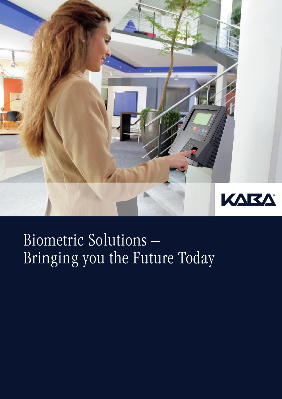

# Biometric Solutions – Bringing you the Future Today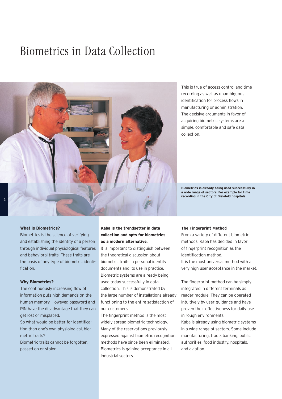## Biometrics in Data Collection



This is true of access control and time recording as well as unambiguous identification for process flows in manufacturing or administration. The decisive arguments in favor of acquiring biometric systems are a simple, comfortable and safe data collection.

**Biometrics is already being used successfully in a wide range of sectors. For example for time recording in the City of Bielefeld hospitals.**

#### **What is Biometrics?**

Biometrics is the science of verifying and establishing the identity of a person through individual physiological features and behavioral traits. These traits are the basis of any type of biometric identification.

#### **Why Biometrics?**

The continuously increasing flow of information puts high demands on the human memory. However, password and PIN have the disadvantage that they can get lost or misplaced.

So what would be better for identification than one's own physiological, biometric traits?

Biometric traits cannot be forgotten, passed on or stolen.

### **Kaba is the trendsetter in data collection and opts for biometrics as a modern alternative.**

It is important to distinguish between the theoretical discussion about biometric traits in personal identity documents and its use in practice. Biometric systems are already being used today successfully in data collection. This is demonstrated by the large number of installations already functioning to the entire satisfaction of our customers.

The fingerprint method is the most widely spread biometric technology. Many of the reservations previously expressed against biometric recognition methods have since been eliminated. Biometrics is gaining acceptance in all industrial sectors.

#### **The Fingerprint Method**

From a variety of different biometric methods, Kaba has decided in favor of fingerprint recognition as the identification method. It is the most universal method with a very high user acceptance in the market.

The fingerprint method can be simply integrated in different terminals as reader module. They can be operated intuitively by user-guidance and have proven their effectiveness for daily use in rough environments. Kaba is already using biometric systems in a wide range of sectors. Some include manufacturing, trade, banking, public authorities, food industry, hospitals, and aviation.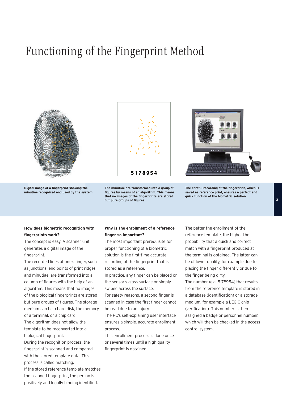## Functioning of the Fingerprint Method



**Digital image of a fingerprint showing the minutiae recognized and used by the system.**



**The minutiae are transformed into a group of figures by means of an algorithm. This means that no images of the fingerprints are stored but pure groups of figures.**



**The careful recording of the fingerprint, which is saved as reference print, ensures a perfect and quick function of the biometric solution.**

### **How does biometric recognition with fingerprints work?**

The concept is easy. A scanner unit generates a digital image of the fingerprint.

The recorded lines of one's finger, such as junctions, end points of print ridges, and minutiae, are transformed into a column of figures with the help of an algorithm. This means that no images of the biological fingerprints are stored but pure groups of figures. The storage medium can be a hard disk, the memory of a terminal, or a chip card.

The algorithm does not allow the template to be reconverted into a biological fingerprint.

During the recognition process, the fingerprint is scanned and compared with the stored template data. This process is called matching.

If the stored reference template matches the scanned fingerprint, the person is positively and legally binding identified.

### **Why is the enrollment of a reference finger so important?**

The most important prerequisite for proper functioning of a biometric solution is the first-time accurate recording of the fingerprint that is stored as a reference.

In practice, any finger can be placed on the sensor's glass surface or simply swiped across the surface.

For safety reasons, a second finger is scanned in case the first finger cannot be read due to an injury.

The PC's self-explaining user interface ensures a simple, accurate enrollment process.

This enrollment process is done once or several times until a high quality fingerprint is obtained.

The better the enrollment of the reference template, the higher the probability that a quick and correct match with a fingerprint produced at the terminal is obtained. The latter can be of lower quality, for example due to placing the finger differently or due to the finger being dirty.

The number (e.g. 5178954) that results from the reference template is stored in a database (identification) or a storage medium, for example a LEGIC chip (verification). This number is then assigned a badge or personnel number, which will then be checked in the access control system.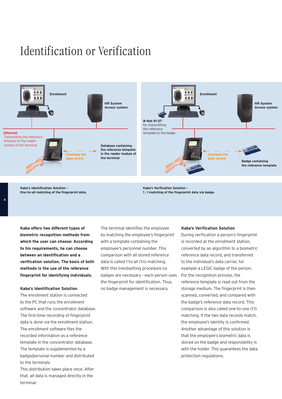# Identification or Verification



**Kaba's Identification Solution – One-to-all matching of the fingerprint data.** **Kaba's Verification Solution – 1 : 1 matching of the fingerprint data via badge.**

**Kaba offers two different types of biometric recognition methods from which the user can choose: According to his requirements, he can choose between an identification and a verification solution. The basis of both methods is the use of the reference fingerprint for identifying individuals.**

#### **Kaba's Identification Solution**

The enrollment station is connected to the PC that runs the enrollment software and the concentrator database. The first-time recording of fingerprint data is done via the enrollment station. The enrollment software files the recorded information as a reference template in the concentrator database. The template is supplemented by a badge/personal number and distributed to the terminals.

This distribution takes place once. After that, all data is managed directly in the terminal.

The terminal identifies the employee by matching the employee's fingerprint with a template containing the employee's personnel number. This comparison with all stored reference data is called 1-to-all (1:n) matching. With this trendsetting procedure no badges are necessary - each person uses the fingerprint for identification. Thus, no badge management is necessary.

#### **Kaba's Verification Solution**

During verification a person's fingerprint is recorded at the enrollment station, converted by an algorithm to a biometric reference data record, and transferred to the individual's data carrier, for example a LEGIC badge of the person. For the recognition process, the reference template is read out from the storage medium. The fingerprint is then scanned, converted, and compared with the badge's reference data record. This comparison is also called one-to-one (1:1) matching. If the two data records match, the employee's identity is confirmed. Another advantage of this solution is that the employee's biometric data is stored on the badge and responsibility is with the holder. This guarantees the data protection regulations.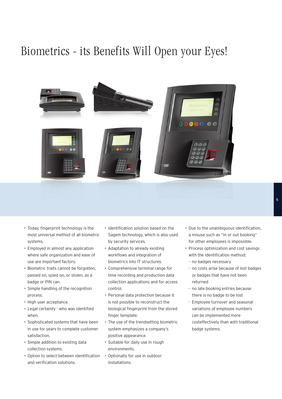# Biometrics - its Benefits Will Open your Eyes!



- Today, fingerprint technology is the most universal method of all biometric systems.
- Employed in almost any application where safe organization and ease of use are important factors.
- Biometric traits cannot be forgotten, passed on, spied on, or stolen, as a badge or PIN can.
- Simple handling of the recognition process.
- High user acceptance.
- Legal certainty who was identified when.
- Sophisticated systems that have been in use for years to complete customer satisfaction.
- Simple addition to existing data collection systems.
- Option to select between identification Optionally for use in outdoor and verification solutions.
- Identification solution based on the Sagem technology, which is also used by security services.
- Adaptation to already existing workflows and integration of biometrics into IT structures.
- Comprehensive terminal range for time recording and production data collection applications and for access control.
- Personal data protection because it is not possible to reconstruct the biological fingerprint from the stored finger template.
- The use of the trendsetting biometric system emphasizes a company's positive appearance.
- Suitable for daily use in rough environments.
- installations.
- Due to the unambiguous identification, a misuse such as "in or out booking" for other employees is impossible.
- Process optimization and cost savings with the identification method:
- no badges necessary
- no costs arise because of lost badges or badges that have not been returned
- no late booking entries because there is no badge to be lost
- Employee turnover and seasonal variations of employee numbers can be implemented more costeffectively than with traditional badge systems.